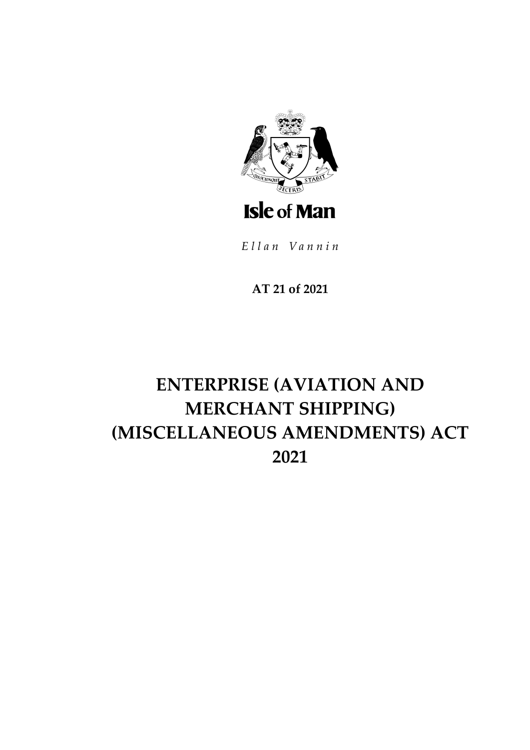

Ellan Vannin

# AT 21 of 2021

# **ENTERPRISE (AVIATION AND MERCHANT SHIPPING)** (MISCELLANEOUS AMENDMENTS) ACT 2021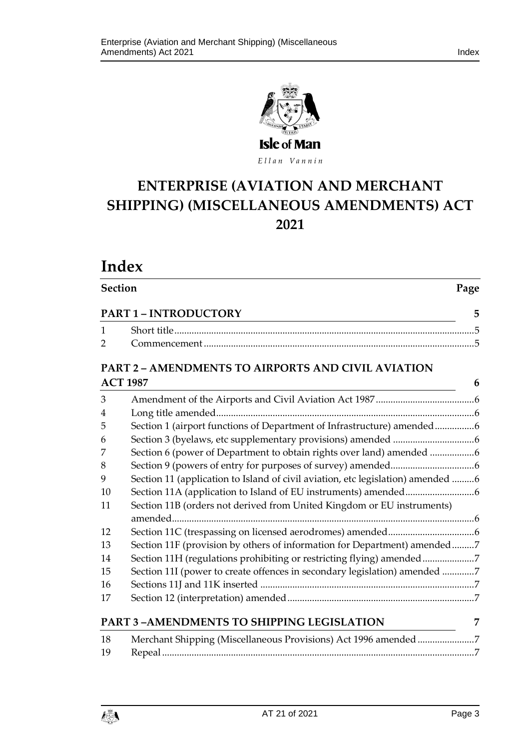



Ellan Vannin

# **ENTERPRISE (AVIATION AND MERCHANT SHIPPING) (MISCELLANEOUS AMENDMENTS) ACT 2021**

**Section Page**

# **Index**

| $\mathbf{1}$    | <u> 1989 - Johann Barbara, martxa alemaniar amerikan a</u>                      |   |
|-----------------|---------------------------------------------------------------------------------|---|
| $\overline{2}$  |                                                                                 |   |
|                 | PART 2 - AMENDMENTS TO AIRPORTS AND CIVIL AVIATION                              |   |
| <b>ACT 1987</b> |                                                                                 |   |
| 3               |                                                                                 |   |
| 4               |                                                                                 |   |
| 5               | Section 1 (airport functions of Department of Infrastructure) amended6          |   |
| 6               |                                                                                 |   |
| 7               | Section 6 (power of Department to obtain rights over land) amended 6            |   |
| 8               |                                                                                 |   |
| 9               | Section 11 (application to Island of civil aviation, etc legislation) amended 6 |   |
| 10              |                                                                                 |   |
| 11              | Section 11B (orders not derived from United Kingdom or EU instruments)          |   |
|                 |                                                                                 |   |
| 12              |                                                                                 |   |
| 13              | Section 11F (provision by others of information for Department) amended7        |   |
| 14              | Section 11H (regulations prohibiting or restricting flying) amended7            |   |
| 15              | Section 11I (power to create offences in secondary legislation) amended 7       |   |
| 16              |                                                                                 |   |
| 17              |                                                                                 |   |
|                 | PART 3-AMENDMENTS TO SHIPPING LEGISLATION                                       | 7 |
| 18              | Merchant Shipping (Miscellaneous Provisions) Act 1996 amended 7                 |   |
| 19              |                                                                                 |   |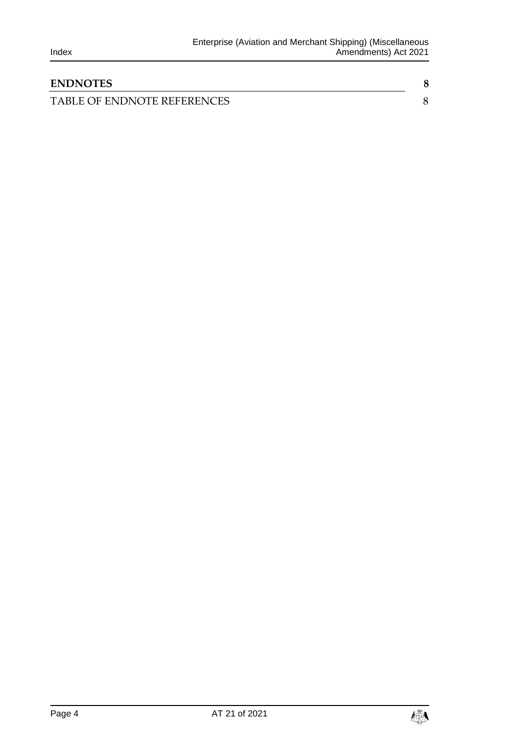| <b>ENDNOTES</b>             |  |
|-----------------------------|--|
| TABLE OF ENDNOTE REFERENCES |  |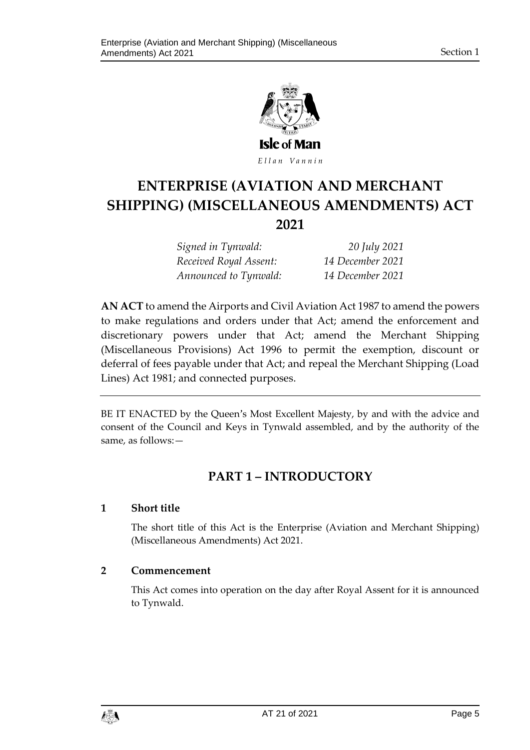

Ellan Vannin

# **ENTERPRISE (AVIATION AND MERCHANT SHIPPING) (MISCELLANEOUS AMENDMENTS) ACT 2021**

| Signed in Tynwald:     | 20 July 2021     |
|------------------------|------------------|
| Received Royal Assent: | 14 December 2021 |
| Announced to Tynwald:  | 14 December 2021 |

**AN ACT** to amend the Airports and Civil Aviation Act 1987 to amend the powers to make regulations and orders under that Act; amend the enforcement and discretionary powers under that Act; amend the Merchant Shipping (Miscellaneous Provisions) Act 1996 to permit the exemption, discount or deferral of fees payable under that Act; and repeal the Merchant Shipping (Load Lines) Act 1981; and connected purposes.

<span id="page-4-0"></span>BE IT ENACTED by the Queen's Most Excellent Majesty, by and with the advice and consent of the Council and Keys in Tynwald assembled, and by the authority of the same, as follows:—

## **PART 1 – INTRODUCTORY**

#### <span id="page-4-1"></span>**1 Short title**

The short title of this Act is the Enterprise (Aviation and Merchant Shipping) (Miscellaneous Amendments) Act 2021.

#### <span id="page-4-2"></span>**2 Commencement**

This Act comes into operation on the day after Royal Assent for it is announced to Tynwald.

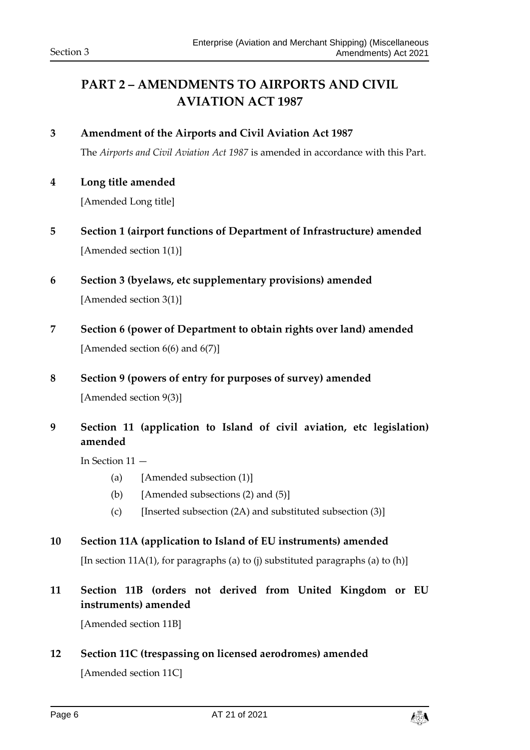# <span id="page-5-0"></span>**PART 2 – AMENDMENTS TO AIRPORTS AND CIVIL AVIATION ACT 1987**

- <span id="page-5-1"></span>**3 Amendment of the Airports and Civil Aviation Act 1987** The *Airports and Civil Aviation Act 1987* is amended in accordance with this Part.
- <span id="page-5-2"></span>**4 Long title amended**

[Amended Long title]

- <span id="page-5-3"></span>**5 Section 1 (airport functions of Department of Infrastructure) amended** [Amended section 1(1)]
- <span id="page-5-4"></span>**6 Section 3 (byelaws, etc supplementary provisions) amended** [Amended section 3(1)]
- <span id="page-5-5"></span>**7 Section 6 (power of Department to obtain rights over land) amended** [Amended section  $6(6)$  and  $6(7)$ ]
- <span id="page-5-6"></span>**8 Section 9 (powers of entry for purposes of survey) amended** [Amended section 9(3)]
- <span id="page-5-7"></span>**9 Section 11 (application to Island of civil aviation, etc legislation) amended**

In Section 11 —

- (a) [Amended subsection (1)]
- (b) [Amended subsections  $(2)$  and  $(5)$ ]
- (c) [Inserted subsection  $(2A)$  and substituted subsection  $(3)$ ]

#### <span id="page-5-8"></span>**10 Section 11A (application to Island of EU instruments) amended**

[In section 11A(1), for paragraphs (a) to (j) substituted paragraphs (a) to (h)]

### <span id="page-5-9"></span>**11 Section 11B (orders not derived from United Kingdom or EU instruments) amended**

[Amended section 11B]

#### <span id="page-5-10"></span>**12 Section 11C (trespassing on licensed aerodromes) amended**

[Amended section 11C]

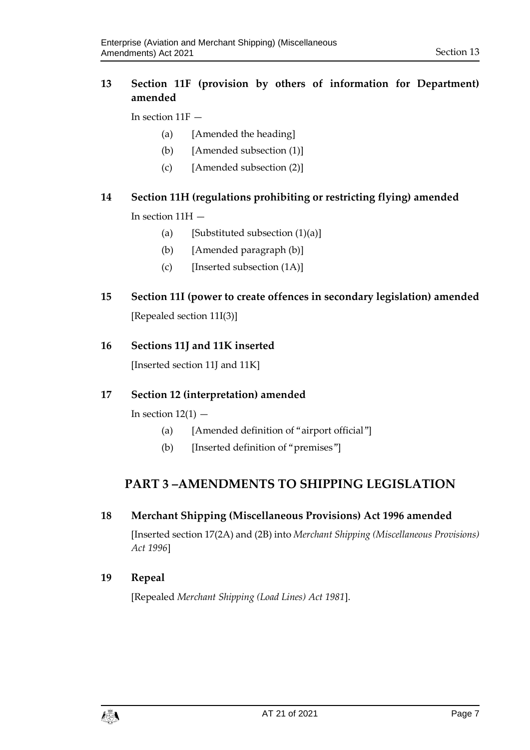#### <span id="page-6-0"></span>**13 Section 11F (provision by others of information for Department) amended**

In section 11F —

- (a) [Amended the heading]
- (b) [Amended subsection (1)]
- (c) [Amended subsection (2)]

### <span id="page-6-1"></span>**14 Section 11H (regulations prohibiting or restricting flying) amended**

In section 11H —

- (a) [Substituted subsection  $(1)(a)$ ]
- (b) [Amended paragraph (b)]
- (c) [Inserted subsection (1A)]
- <span id="page-6-2"></span>**15 Section 11I (power to create offences in secondary legislation) amended** [Repealed section 11I(3)]

#### <span id="page-6-3"></span>**16 Sections 11J and 11K inserted**

[Inserted section 11J and 11K]

#### <span id="page-6-4"></span>**17 Section 12 (interpretation) amended**

In section  $12(1)$  –

- (a) [Amended definition of "airport official"]
- (b) [Inserted definition of "premises"]

### <span id="page-6-5"></span>**PART 3 –AMENDMENTS TO SHIPPING LEGISLATION**

#### <span id="page-6-6"></span>**18 Merchant Shipping (Miscellaneous Provisions) Act 1996 amended**

[Inserted section 17(2A) and (2B) into *Merchant Shipping (Miscellaneous Provisions) Act 1996*]

#### <span id="page-6-7"></span>**19 Repeal**

[Repealed *Merchant Shipping (Load Lines) Act 1981*].